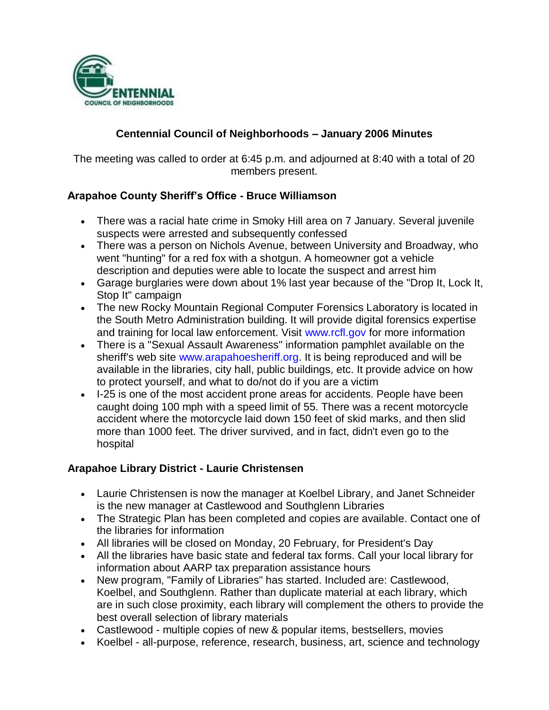

## **Centennial Council of Neighborhoods – January 2006 Minutes**

The meeting was called to order at 6:45 p.m. and adjourned at 8:40 with a total of 20 members present.

### **Arapahoe County Sheriff's Office - Bruce Williamson**

- There was a racial hate crime in Smoky Hill area on 7 January. Several juvenile suspects were arrested and subsequently confessed
- There was a person on Nichols Avenue, between University and Broadway, who went "hunting" for a red fox with a shotgun. A homeowner got a vehicle description and deputies were able to locate the suspect and arrest him
- Garage burglaries were down about 1% last year because of the "Drop It, Lock It, Stop It" campaign
- The new Rocky Mountain Regional Computer Forensics Laboratory is located in the South Metro Administration building. It will provide digital forensics expertise and training for local law enforcement. Visit www.rcfl.gov for more information
- There is a "Sexual Assault Awareness" information pamphlet available on the sheriff's web site www.arapahoesheriff.org. It is being reproduced and will be available in the libraries, city hall, public buildings, etc. It provide advice on how to protect yourself, and what to do/not do if you are a victim
- I-25 is one of the most accident prone areas for accidents. People have been caught doing 100 mph with a speed limit of 55. There was a recent motorcycle accident where the motorcycle laid down 150 feet of skid marks, and then slid more than 1000 feet. The driver survived, and in fact, didn't even go to the hospital

#### **Arapahoe Library District - Laurie Christensen**

- Laurie Christensen is now the manager at Koelbel Library, and Janet Schneider is the new manager at Castlewood and Southglenn Libraries
- The Strategic Plan has been completed and copies are available. Contact one of the libraries for information
- All libraries will be closed on Monday, 20 February, for President's Day
- All the libraries have basic state and federal tax forms. Call your local library for information about AARP tax preparation assistance hours
- New program, "Family of Libraries" has started. Included are: Castlewood, Koelbel, and Southglenn. Rather than duplicate material at each library, which are in such close proximity, each library will complement the others to provide the best overall selection of library materials
- Castlewood multiple copies of new & popular items, bestsellers, movies
- Koelbel all-purpose, reference, research, business, art, science and technology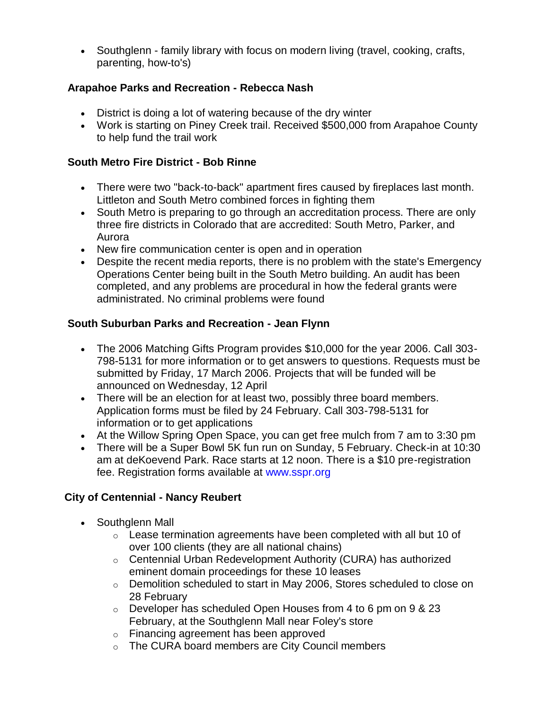• Southglenn - family library with focus on modern living (travel, cooking, crafts, parenting, how-to's)

## **Arapahoe Parks and Recreation - Rebecca Nash**

- District is doing a lot of watering because of the dry winter
- Work is starting on Piney Creek trail. Received \$500,000 from Arapahoe County to help fund the trail work

# **South Metro Fire District - Bob Rinne**

- There were two "back-to-back" apartment fires caused by fireplaces last month. Littleton and South Metro combined forces in fighting them
- South Metro is preparing to go through an accreditation process. There are only three fire districts in Colorado that are accredited: South Metro, Parker, and Aurora
- New fire communication center is open and in operation
- Despite the recent media reports, there is no problem with the state's Emergency Operations Center being built in the South Metro building. An audit has been completed, and any problems are procedural in how the federal grants were administrated. No criminal problems were found

## **South Suburban Parks and Recreation - Jean Flynn**

- The 2006 Matching Gifts Program provides \$10,000 for the year 2006. Call 303- 798-5131 for more information or to get answers to questions. Requests must be submitted by Friday, 17 March 2006. Projects that will be funded will be announced on Wednesday, 12 April
- There will be an election for at least two, possibly three board members. Application forms must be filed by 24 February. Call 303-798-5131 for information or to get applications
- At the Willow Spring Open Space, you can get free mulch from 7 am to 3:30 pm
- There will be a Super Bowl 5K fun run on Sunday, 5 February. Check-in at 10:30 am at deKoevend Park. Race starts at 12 noon. There is a \$10 pre-registration fee. Registration forms available at www.sspr.org

# **City of Centennial - Nancy Reubert**

- Southglenn Mall
	- $\circ$  Lease termination agreements have been completed with all but 10 of over 100 clients (they are all national chains)
	- o Centennial Urban Redevelopment Authority (CURA) has authorized eminent domain proceedings for these 10 leases
	- $\circ$  Demolition scheduled to start in May 2006, Stores scheduled to close on 28 February
	- o Developer has scheduled Open Houses from 4 to 6 pm on 9 & 23 February, at the Southglenn Mall near Foley's store
	- o Financing agreement has been approved
	- o The CURA board members are City Council members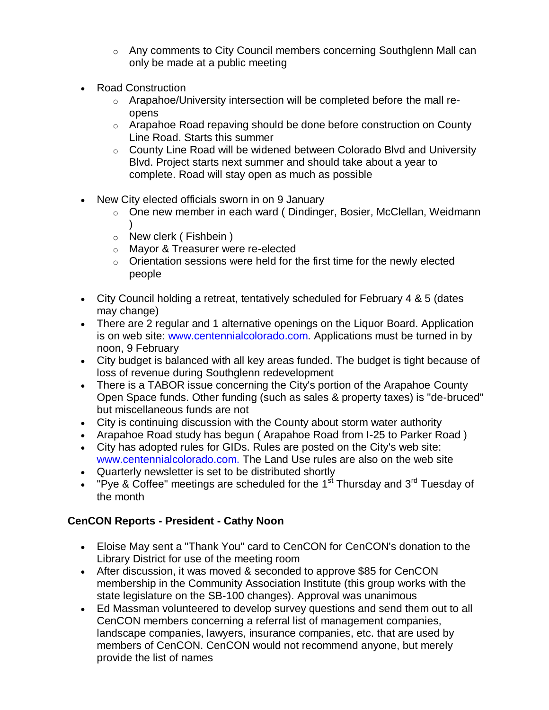- o Any comments to City Council members concerning Southglenn Mall can only be made at a public meeting
- Road Construction
	- o Arapahoe/University intersection will be completed before the mall reopens
	- o Arapahoe Road repaving should be done before construction on County Line Road. Starts this summer
	- o County Line Road will be widened between Colorado Blvd and University Blvd. Project starts next summer and should take about a year to complete. Road will stay open as much as possible
- New City elected officials sworn in on 9 January
	- o One new member in each ward ( Dindinger, Bosier, McClellan, Weidmann )
	- o New clerk ( Fishbein )
	- o Mayor & Treasurer were re-elected
	- $\circ$  Orientation sessions were held for the first time for the newly elected people
- City Council holding a retreat, tentatively scheduled for February 4 & 5 (dates may change)
- There are 2 regular and 1 alternative openings on the Liquor Board. Application is on web site: www.centennialcolorado.com. Applications must be turned in by noon, 9 February
- City budget is balanced with all key areas funded. The budget is tight because of loss of revenue during Southglenn redevelopment
- There is a TABOR issue concerning the City's portion of the Arapahoe County Open Space funds. Other funding (such as sales & property taxes) is "de-bruced" but miscellaneous funds are not
- City is continuing discussion with the County about storm water authority
- Arapahoe Road study has begun ( Arapahoe Road from I-25 to Parker Road )
- City has adopted rules for GIDs. Rules are posted on the City's web site: www.centennialcolorado.com. The Land Use rules are also on the web site
- Quarterly newsletter is set to be distributed shortly
- "Pye & Coffee" meetings are scheduled for the 1<sup>st</sup> Thursday and 3<sup>rd</sup> Tuesday of the month

# **CenCON Reports - President - Cathy Noon**

- Eloise May sent a "Thank You" card to CenCON for CenCON's donation to the Library District for use of the meeting room
- After discussion, it was moved & seconded to approve \$85 for CenCON membership in the Community Association Institute (this group works with the state legislature on the SB-100 changes). Approval was unanimous
- Ed Massman volunteered to develop survey questions and send them out to all CenCON members concerning a referral list of management companies, landscape companies, lawyers, insurance companies, etc. that are used by members of CenCON. CenCON would not recommend anyone, but merely provide the list of names